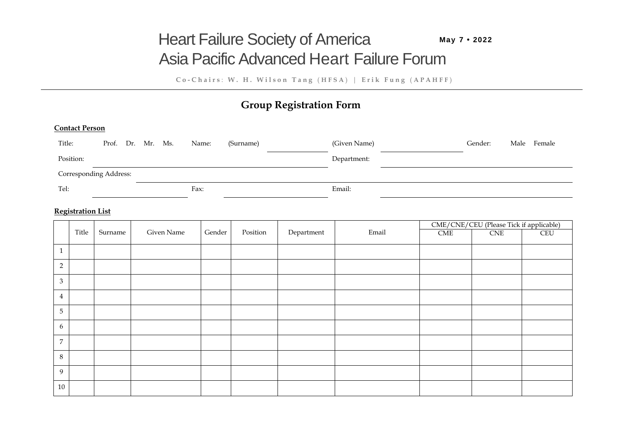# Asia Pacific Advanced Heart Failure Forum **Heart Failure Society of America** May 7 · 2022

**C o - C h a i r s** : **W . H . W i l s o n T a n g** ( **H F S A** ) | **E r i k F u n g** ( **A P A H F F** )

# **Group Registration Form**

#### **Contact Person**

| Title:                        | Prof. Dr. Mr. Ms. |  | Name: | (Surname) | (Given Name) | Gender: | Male | Female |
|-------------------------------|-------------------|--|-------|-----------|--------------|---------|------|--------|
| Position:                     |                   |  |       |           | Department:  |         |      |        |
| <b>Corresponding Address:</b> |                   |  |       |           |              |         |      |        |
| Tel:                          |                   |  | Fax:  |           | Email:       |         |      |        |

## **Registration List**

|                  |       |         |            |        |          |            |       | CME/CNE/CEU (Please Tick if applicable) |            |     |
|------------------|-------|---------|------------|--------|----------|------------|-------|-----------------------------------------|------------|-----|
|                  | Title | Surname | Given Name | Gender | Position | Department | Email | CME                                     | <b>CNE</b> | CEU |
|                  |       |         |            |        |          |            |       |                                         |            |     |
| $\mathbf{1}$     |       |         |            |        |          |            |       |                                         |            |     |
| $\sqrt{2}$       |       |         |            |        |          |            |       |                                         |            |     |
| $\mathfrak{Z}$   |       |         |            |        |          |            |       |                                         |            |     |
| $\overline{4}$   |       |         |            |        |          |            |       |                                         |            |     |
| $\overline{5}$   |       |         |            |        |          |            |       |                                         |            |     |
| $\boldsymbol{6}$ |       |         |            |        |          |            |       |                                         |            |     |
| $\overline{7}$   |       |         |            |        |          |            |       |                                         |            |     |
| 8                |       |         |            |        |          |            |       |                                         |            |     |
| 9                |       |         |            |        |          |            |       |                                         |            |     |
| 10               |       |         |            |        |          |            |       |                                         |            |     |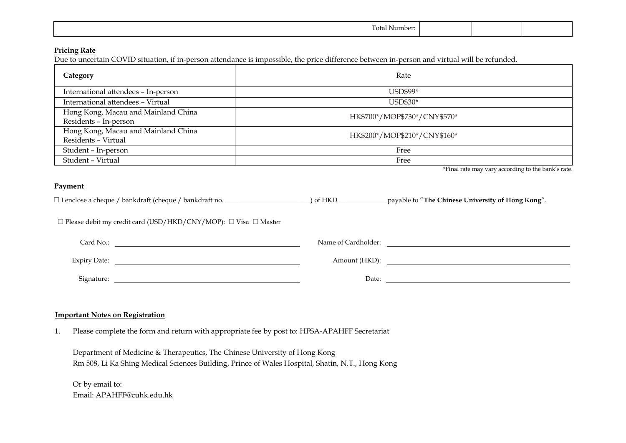| $\sim$<br>. .<br>$\cdot$ $\sim$ $\sim$<br>sumber: |  |  |
|---------------------------------------------------|--|--|
|                                                   |  |  |

# **Pricing Rate**

Due to uncertain COVID situation, if in-person attendance is impossible, the price difference between in-person and virtual will be refunded.

| Category                                                     | Rate                         |  |  |
|--------------------------------------------------------------|------------------------------|--|--|
| International attendees - In-person                          | USD\$99*                     |  |  |
| International attendees - Virtual                            | USD\$30*                     |  |  |
| Hong Kong, Macau and Mainland China<br>Residents - In-person | HK\$700*/MOP\$730*/CNY\$570* |  |  |
| Hong Kong, Macau and Mainland China<br>Residents - Virtual   | HK\$200*/MOP\$210*/CNY\$160* |  |  |
| Student - In-person                                          | Free                         |  |  |
| Student - Virtual                                            | Free                         |  |  |

\*Final rate may vary according to the bank's rate.

#### **Payment**

I enclose a cheque / bankdraft (cheque / bankdraft no. \_\_\_\_\_\_\_\_\_\_\_\_\_\_\_\_\_\_\_\_\_\_\_\_\_ ) of HKD \_\_\_\_\_\_\_\_\_\_\_\_\_\_ payable to "**The Chinese University of Hong Kong**".

 $\square$  Please debit my credit card (USD/HKD/CNY/MOP):  $\square$  Visa  $\square$  Master

| Name of Cardholder: | Card No.:           |
|---------------------|---------------------|
| Amount (HKD):       | <b>Expiry Date:</b> |
| Date:               | Signature:          |

# **Important Notes on Registration**

1. Please complete the form and return with appropriate fee by post to: HFSA-APAHFF Secretariat

Department of Medicine & Therapeutics, The Chinese University of Hong Kong Rm 508, Li Ka Shing Medical Sciences Building, Prince of Wales Hospital, Shatin, N.T., Hong Kong

Or by email to: Email: APAHFF@cuhk.edu.hk